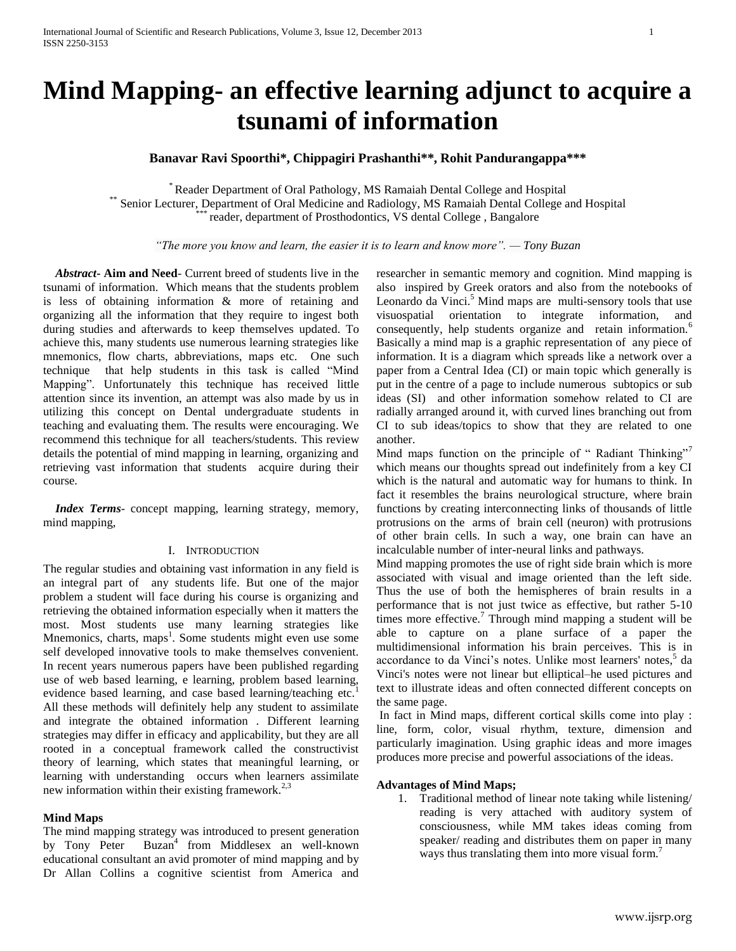# **Mind Mapping- an effective learning adjunct to acquire a tsunami of information**

## **Banavar Ravi Spoorthi\*, Chippagiri Prashanthi\*\*, Rohit Pandurangappa\*\*\***

\* Reader Department of Oral Pathology, MS Ramaiah Dental College and Hospital \*\* Senior Lecturer, Department of Oral Medicine and Radiology, MS Ramaiah Dental College and Hospital reader, department of Prosthodontics, VS dental College, Bangalore

*"The more you know and learn, the easier it is to learn and know more". — Tony Buzan*

 *Abstract***- Aim and Need**- Current breed of students live in the tsunami of information. Which means that the students problem is less of obtaining information & more of retaining and organizing all the information that they require to ingest both during studies and afterwards to keep themselves updated. To achieve this, many students use numerous learning strategies like mnemonics, flow charts, abbreviations, maps etc. One such technique that help students in this task is called "Mind Mapping". Unfortunately this technique has received little attention since its invention, an attempt was also made by us in utilizing this concept on Dental undergraduate students in teaching and evaluating them. The results were encouraging. We recommend this technique for all teachers/students. This review details the potential of mind mapping in learning, organizing and retrieving vast information that students acquire during their course.

 *Index Terms*- concept mapping, learning strategy, memory, mind mapping,

#### I. INTRODUCTION

The regular studies and obtaining vast information in any field is an integral part of any students life. But one of the major problem a student will face during his course is organizing and retrieving the obtained information especially when it matters the most. Most students use many learning strategies like Mnemonics, charts, maps<sup>1</sup>. Some students might even use some self developed innovative tools to make themselves convenient. In recent years numerous papers have been published regarding use of web based learning, e learning, problem based learning, evidence based learning, and case based learning/teaching etc.<sup>1</sup> All these methods will definitely help any student to assimilate and integrate the obtained information . Different learning strategies may differ in efficacy and applicability, but they are all rooted in a conceptual framework called the constructivist theory of learning, which states that meaningful learning, or learning with understanding occurs when learners assimilate new information within their existing framework.<sup>2,3</sup>

#### **Mind Maps**

The mind mapping strategy was introduced to present generation by Tony Peter Buzan<sup>4</sup> from Middlesex an well-known educational consultant an avid promoter of mind mapping and by Dr Allan Collins a cognitive scientist from America and

researcher in semantic memory and cognition. Mind mapping is also inspired by Greek orators and also from the notebooks of Leonardo da Vinci.<sup>5</sup> Mind maps are multi-sensory tools that use visuospatial orientation to integrate information, and consequently, help students organize and retain information.<sup>6</sup> Basically a mind map is a graphic representation of any piece of information. It is a diagram which spreads like a network over a paper from a Central Idea (CI) or main topic which generally is put in the centre of a page to include numerous subtopics or sub ideas (SI) and other information somehow related to CI are radially arranged around it, with curved lines branching out from CI to sub ideas/topics to show that they are related to one another.

Mind maps function on the principle of "Radiant Thinking" which means our thoughts spread out indefinitely from a key CI which is the natural and automatic way for humans to think. In fact it resembles the brains neurological structure, where brain functions by creating interconnecting links of thousands of little protrusions on the arms of brain cell (neuron) with protrusions of other brain cells. In such a way, one brain can have an incalculable number of inter-neural links and pathways.

Mind mapping promotes the use of right side brain which is more associated with visual and image oriented than the left side. Thus the use of both the hemispheres of brain results in a performance that is not just twice as effective, but rather 5-10 times more effective.<sup>7</sup> Through mind mapping a student will be able to capture on a plane surface of a paper the multidimensional information his brain perceives. This is in accordance to da Vinci's notes. Unlike most learners' notes,<sup>5</sup> da Vinci's notes were not linear but elliptical–he used pictures and text to illustrate ideas and often connected different concepts on the same page.

In fact in Mind maps, different cortical skills come into play : line, form, color, visual rhythm, texture, dimension and particularly imagination. Using graphic ideas and more images produces more precise and powerful associations of the ideas.

#### **Advantages of Mind Maps;**

1. Traditional method of linear note taking while listening/ reading is very attached with auditory system of consciousness, while MM takes ideas coming from speaker/ reading and distributes them on paper in many ways thus translating them into more visual form.<sup>7</sup>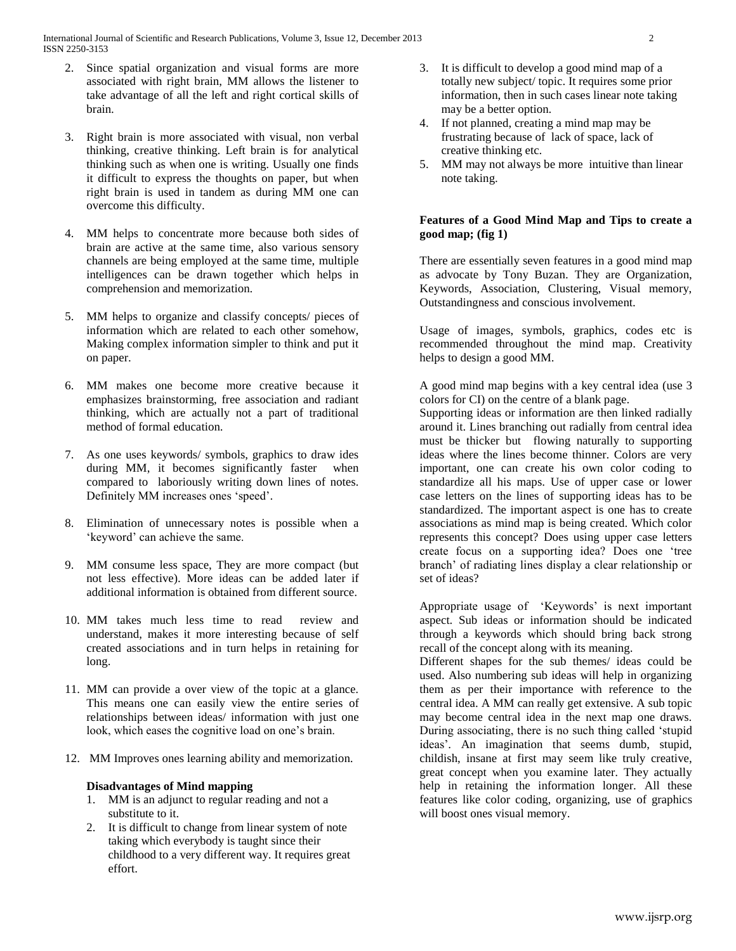International Journal of Scientific and Research Publications, Volume 3, Issue 12, December 2013 2 ISSN 2250-3153

- 2. Since spatial organization and visual forms are more associated with right brain, MM allows the listener to take advantage of all the left and right cortical skills of brain.
- 3. Right brain is more associated with visual, non verbal thinking, creative thinking. Left brain is for analytical thinking such as when one is writing. Usually one finds it difficult to express the thoughts on paper, but when right brain is used in tandem as during MM one can overcome this difficulty.
- 4. MM helps to concentrate more because both sides of brain are active at the same time, also various sensory channels are being employed at the same time, multiple intelligences can be drawn together which helps in comprehension and memorization.
- 5. MM helps to organize and classify concepts/ pieces of information which are related to each other somehow, Making complex information simpler to think and put it on paper.
- 6. MM makes one become more creative because it emphasizes brainstorming, free association and radiant thinking, which are actually not a part of traditional method of formal education.
- 7. As one uses keywords/ symbols, graphics to draw ides during MM, it becomes significantly faster when compared to laboriously writing down lines of notes. Definitely MM increases ones 'speed'.
- 8. Elimination of unnecessary notes is possible when a 'keyword' can achieve the same.
- 9. MM consume less space, They are more compact (but not less effective). More ideas can be added later if additional information is obtained from different source.
- 10. MM takes much less time to read review and understand, makes it more interesting because of self created associations and in turn helps in retaining for long.
- 11. MM can provide a over view of the topic at a glance. This means one can easily view the entire series of relationships between ideas/ information with just one look, which eases the cognitive load on one's brain.
- 12. MM Improves ones learning ability and memorization.

### **Disadvantages of Mind mapping**

- 1. MM is an adjunct to regular reading and not a substitute to it.
- 2. It is difficult to change from linear system of note taking which everybody is taught since their childhood to a very different way. It requires great effort.
- 3. It is difficult to develop a good mind map of a totally new subject/ topic. It requires some prior information, then in such cases linear note taking may be a better option.
- 4. If not planned, creating a mind map may be frustrating because of lack of space, lack of creative thinking etc.
- 5. MM may not always be more intuitive than linear note taking.

## **Features of a Good Mind Map and Tips to create a good map; (fig 1)**

There are essentially seven features in a good mind map as advocate by Tony Buzan. They are Organization, Keywords, Association, Clustering, Visual memory, Outstandingness and conscious involvement.

Usage of images, symbols, graphics, codes etc is recommended throughout the mind map. Creativity helps to design a good MM.

A good mind map begins with a key central idea (use 3 colors for CI) on the centre of a blank page.

Supporting ideas or information are then linked radially around it. Lines branching out radially from central idea must be thicker but flowing naturally to supporting ideas where the lines become thinner. Colors are very important, one can create his own color coding to standardize all his maps. Use of upper case or lower case letters on the lines of supporting ideas has to be standardized. The important aspect is one has to create associations as mind map is being created. Which color represents this concept? Does using upper case letters create focus on a supporting idea? Does one 'tree branch' of radiating lines display a clear relationship or set of ideas?

Appropriate usage of 'Keywords' is next important aspect. Sub ideas or information should be indicated through a keywords which should bring back strong recall of the concept along with its meaning.

Different shapes for the sub themes/ ideas could be used. Also numbering sub ideas will help in organizing them as per their importance with reference to the central idea. A MM can really get extensive. A sub topic may become central idea in the next map one draws. During associating, there is no such thing called 'stupid ideas'. An imagination that seems dumb, stupid, childish, insane at first may seem like truly creative, great concept when you examine later. They actually help in retaining the information longer. All these features like color coding, organizing, use of graphics will boost ones visual memory.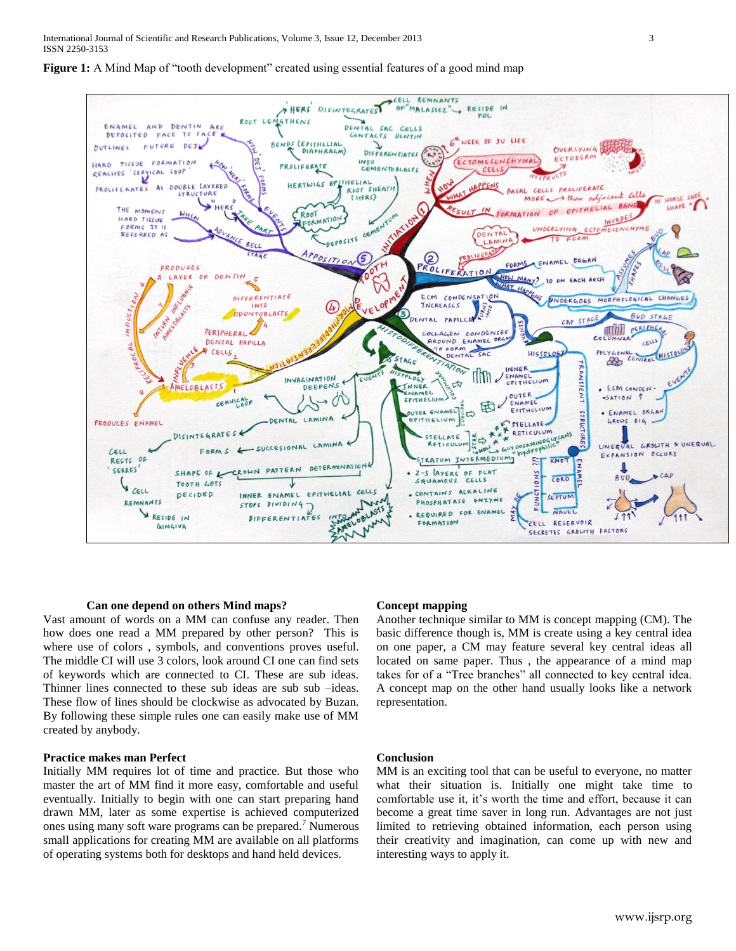

## **Figure 1:** A Mind Map of "tooth development" created using essential features of a good mind map

#### **Can one depend on others Mind maps?**

Vast amount of words on a MM can confuse any reader. Then how does one read a MM prepared by other person? This is where use of colors , symbols, and conventions proves useful. The middle CI will use 3 colors, look around CI one can find sets of keywords which are connected to CI. These are sub ideas. Thinner lines connected to these sub ideas are sub sub –ideas. These flow of lines should be clockwise as advocated by Buzan. By following these simple rules one can easily make use of MM created by anybody.

## **Practice makes man Perfect**

Initially MM requires lot of time and practice. But those who master the art of MM find it more easy, comfortable and useful eventually. Initially to begin with one can start preparing hand drawn MM, later as some expertise is achieved computerized ones using many soft ware programs can be prepared.<sup>7</sup> Numerous small applications for creating MM are available on all platforms of operating systems both for desktops and hand held devices.

#### **Concept mapping**

Another technique similar to MM is concept mapping (CM). The basic difference though is, MM is create using a key central idea on one paper, a CM may feature several key central ideas all located on same paper. Thus , the appearance of a mind map takes for of a "Tree branches" all connected to key central idea. A concept map on the other hand usually looks like a network representation.

#### **Conclusion**

MM is an exciting tool that can be useful to everyone, no matter what their situation is. Initially one might take time to comfortable use it, it's worth the time and effort, because it can become a great time saver in long run. Advantages are not just limited to retrieving obtained information, each person using their creativity and imagination, can come up with new and interesting ways to apply it.